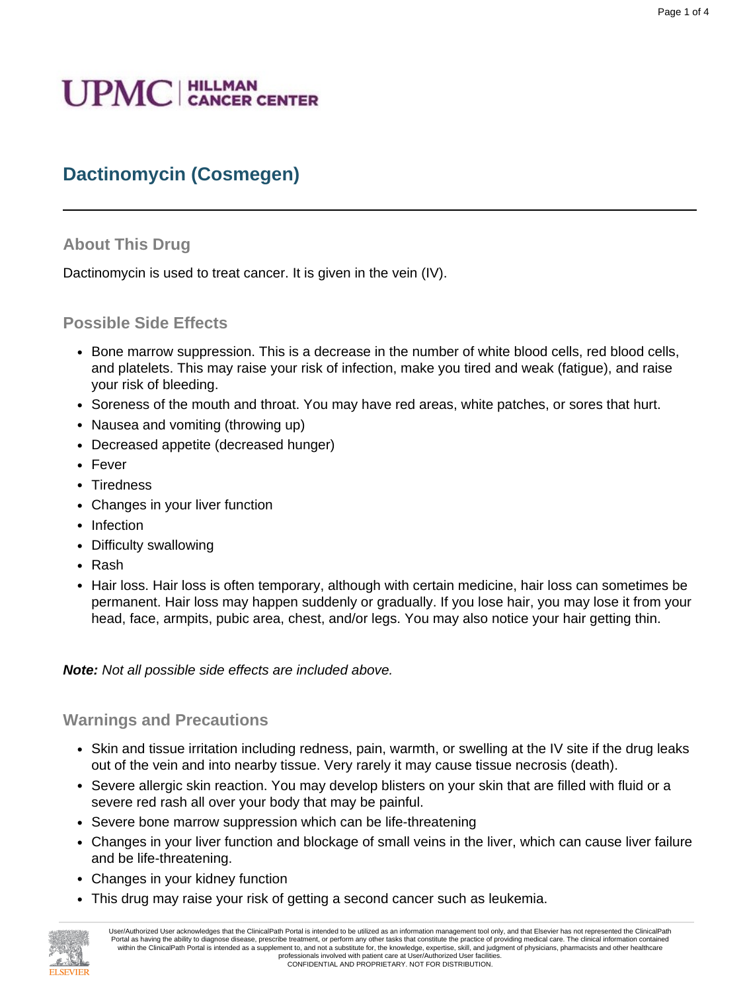# **UPMC** | HILLMAN

## **Dactinomycin (Cosmegen)**

#### **About This Drug**

Dactinomycin is used to treat cancer. It is given in the vein (IV).

#### **Possible Side Effects**

- Bone marrow suppression. This is a decrease in the number of white blood cells, red blood cells, and platelets. This may raise your risk of infection, make you tired and weak (fatigue), and raise your risk of bleeding.
- Soreness of the mouth and throat. You may have red areas, white patches, or sores that hurt.
- Nausea and vomiting (throwing up)
- Decreased appetite (decreased hunger)
- Fever
- Tiredness
- Changes in your liver function
- Infection
- Difficulty swallowing
- Rash
- Hair loss. Hair loss is often temporary, although with certain medicine, hair loss can sometimes be permanent. Hair loss may happen suddenly or gradually. If you lose hair, you may lose it from your head, face, armpits, pubic area, chest, and/or legs. You may also notice your hair getting thin.

**Note:** Not all possible side effects are included above.

#### **Warnings and Precautions**

- Skin and tissue irritation including redness, pain, warmth, or swelling at the IV site if the drug leaks out of the vein and into nearby tissue. Very rarely it may cause tissue necrosis (death).
- Severe allergic skin reaction. You may develop blisters on your skin that are filled with fluid or a severe red rash all over your body that may be painful.
- Severe bone marrow suppression which can be life-threatening
- Changes in your liver function and blockage of small veins in the liver, which can cause liver failure and be life-threatening.
- Changes in your kidney function
- This drug may raise your risk of getting a second cancer such as leukemia.

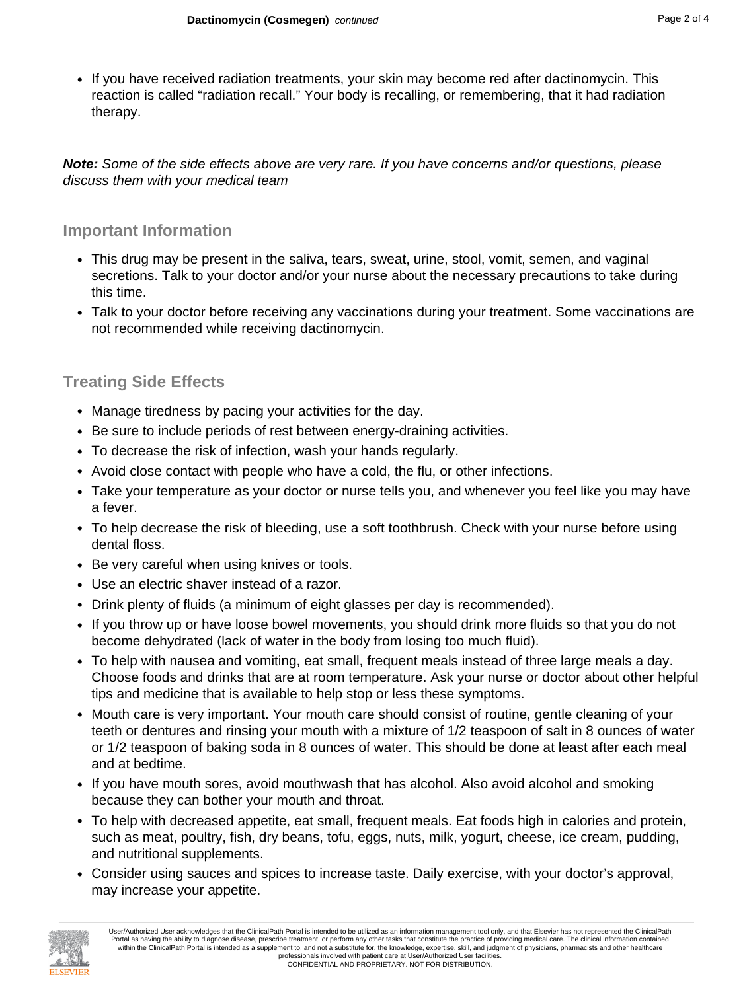• If you have received radiation treatments, your skin may become red after dactinomycin. This reaction is called "radiation recall." Your body is recalling, or remembering, that it had radiation therapy.

**Note:** Some of the side effects above are very rare. If you have concerns and/or questions, please discuss them with your medical team

#### **Important Information**

- This drug may be present in the saliva, tears, sweat, urine, stool, vomit, semen, and vaginal secretions. Talk to your doctor and/or your nurse about the necessary precautions to take during this time.
- Talk to your doctor before receiving any vaccinations during your treatment. Some vaccinations are not recommended while receiving dactinomycin.

### **Treating Side Effects**

- Manage tiredness by pacing your activities for the day.
- Be sure to include periods of rest between energy-draining activities.
- To decrease the risk of infection, wash your hands regularly.
- Avoid close contact with people who have a cold, the flu, or other infections.
- Take your temperature as your doctor or nurse tells you, and whenever you feel like you may have a fever.
- To help decrease the risk of bleeding, use a soft toothbrush. Check with your nurse before using dental floss.
- Be very careful when using knives or tools.
- Use an electric shaver instead of a razor.
- Drink plenty of fluids (a minimum of eight glasses per day is recommended).
- If you throw up or have loose bowel movements, you should drink more fluids so that you do not become dehydrated (lack of water in the body from losing too much fluid).
- To help with nausea and vomiting, eat small, frequent meals instead of three large meals a day. Choose foods and drinks that are at room temperature. Ask your nurse or doctor about other helpful tips and medicine that is available to help stop or less these symptoms.
- Mouth care is very important. Your mouth care should consist of routine, gentle cleaning of your teeth or dentures and rinsing your mouth with a mixture of 1/2 teaspoon of salt in 8 ounces of water or 1/2 teaspoon of baking soda in 8 ounces of water. This should be done at least after each meal and at bedtime.
- If you have mouth sores, avoid mouthwash that has alcohol. Also avoid alcohol and smoking because they can bother your mouth and throat.
- To help with decreased appetite, eat small, frequent meals. Eat foods high in calories and protein, such as meat, poultry, fish, dry beans, tofu, eggs, nuts, milk, yogurt, cheese, ice cream, pudding, and nutritional supplements.
- Consider using sauces and spices to increase taste. Daily exercise, with your doctor's approval, may increase your appetite.

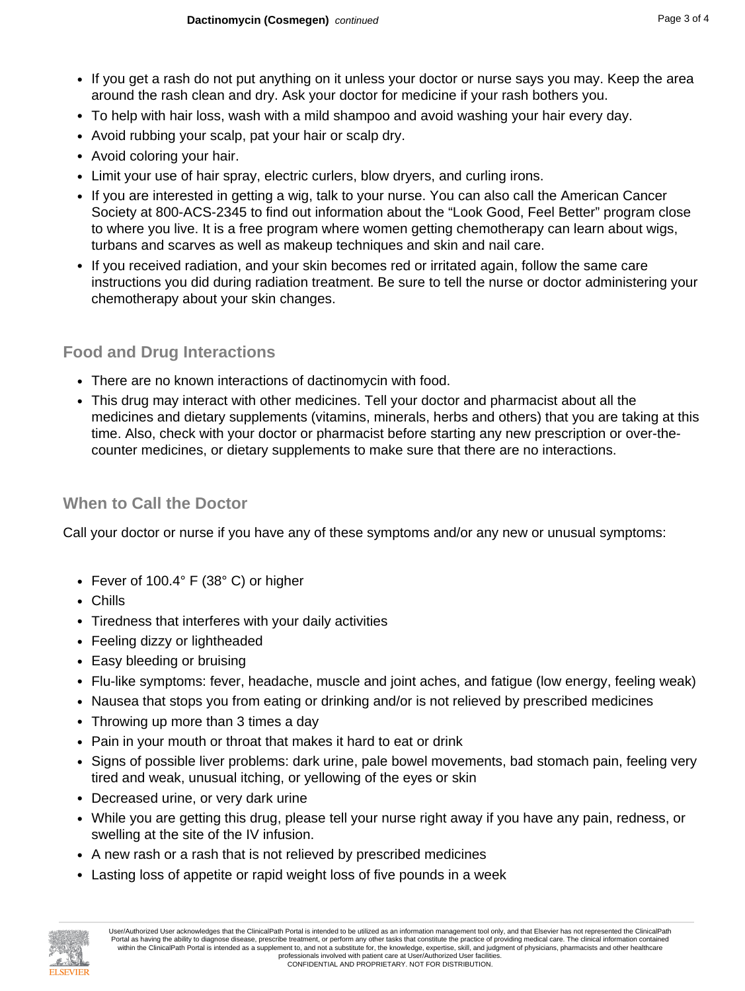- If you get a rash do not put anything on it unless your doctor or nurse says you may. Keep the area around the rash clean and dry. Ask your doctor for medicine if your rash bothers you.
- To help with hair loss, wash with a mild shampoo and avoid washing your hair every day.
- Avoid rubbing your scalp, pat your hair or scalp dry.
- Avoid coloring your hair.
- Limit your use of hair spray, electric curlers, blow dryers, and curling irons.
- If you are interested in getting a wig, talk to your nurse. You can also call the American Cancer Society at 800-ACS-2345 to find out information about the "Look Good, Feel Better" program close to where you live. It is a free program where women getting chemotherapy can learn about wigs, turbans and scarves as well as makeup techniques and skin and nail care.
- If you received radiation, and your skin becomes red or irritated again, follow the same care instructions you did during radiation treatment. Be sure to tell the nurse or doctor administering your chemotherapy about your skin changes.

## **Food and Drug Interactions**

- There are no known interactions of dactinomycin with food.
- This drug may interact with other medicines. Tell your doctor and pharmacist about all the medicines and dietary supplements (vitamins, minerals, herbs and others) that you are taking at this time. Also, check with your doctor or pharmacist before starting any new prescription or over-thecounter medicines, or dietary supplements to make sure that there are no interactions.

## **When to Call the Doctor**

Call your doctor or nurse if you have any of these symptoms and/or any new or unusual symptoms:

- Fever of 100.4° F (38° C) or higher
- Chills
- Tiredness that interferes with your daily activities
- Feeling dizzy or lightheaded
- Easy bleeding or bruising
- Flu-like symptoms: fever, headache, muscle and joint aches, and fatigue (low energy, feeling weak)
- Nausea that stops you from eating or drinking and/or is not relieved by prescribed medicines
- Throwing up more than 3 times a day
- Pain in your mouth or throat that makes it hard to eat or drink
- Signs of possible liver problems: dark urine, pale bowel movements, bad stomach pain, feeling very tired and weak, unusual itching, or yellowing of the eyes or skin
- Decreased urine, or very dark urine
- While you are getting this drug, please tell your nurse right away if you have any pain, redness, or swelling at the site of the IV infusion.
- A new rash or a rash that is not relieved by prescribed medicines
- Lasting loss of appetite or rapid weight loss of five pounds in a week